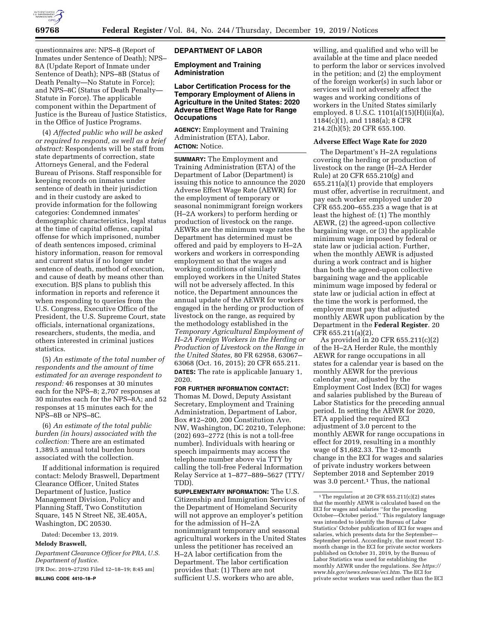

questionnaires are: NPS–8 (Report of Inmates under Sentence of Death); NPS– 8A (Update Report of Inmate under Sentence of Death); NPS–8B (Status of Death Penalty—No Statute in Force); and NPS–8C (Status of Death Penalty— Statute in Force). The applicable component within the Department of Justice is the Bureau of Justice Statistics, in the Office of Justice Programs.

(4) *Affected public who will be asked or required to respond, as well as a brief abstract:* Respondents will be staff from state departments of correction, state Attorneys General, and the Federal Bureau of Prisons. Staff responsible for keeping records on inmates under sentence of death in their jurisdiction and in their custody are asked to provide information for the following categories: Condemned inmates' demographic characteristics, legal status at the time of capital offense, capital offense for which imprisoned, number of death sentences imposed, criminal history information, reason for removal and current status if no longer under sentence of death, method of execution, and cause of death by means other than execution. BJS plans to publish this information in reports and reference it when responding to queries from the U.S. Congress, Executive Office of the President, the U.S. Supreme Court, state officials, international organizations, researchers, students, the media, and others interested in criminal justices statistics.

(5) *An estimate of the total number of respondents and the amount of time estimated for an average respondent to respond:* 46 responses at 30 minutes each for the NPS–8; 2,707 responses at 30 minutes each for the NPS–8A; and 52 responses at 15 minutes each for the NPS–8B or NPS–8C.

(6) *An estimate of the total public burden (in hours) associated with the collection:* There are an estimated 1,389.5 annual total burden hours associated with the collection.

If additional information is required contact: Melody Braswell, Department Clearance Officer, United States Department of Justice, Justice Management Division, Policy and Planning Staff, Two Constitution Square, 145 N Street NE, 3E.405A, Washington, DC 20530.

Dated: December 13, 2019.

## **Melody Braswell,**

*Department Clearance Officer for PRA, U.S. Department of Justice.* 

[FR Doc. 2019–27293 Filed 12–18–19; 8:45 am] **BILLING CODE 4410–18–P** 

### **DEPARTMENT OF LABOR**

**Employment and Training Administration** 

## **Labor Certification Process for the Temporary Employment of Aliens in Agriculture in the United States: 2020 Adverse Effect Wage Rate for Range Occupations**

**AGENCY:** Employment and Training Administration (ETA), Labor. **ACTION:** Notice.

**SUMMARY:** The Employment and Training Administration (ETA) of the Department of Labor (Department) is issuing this notice to announce the 2020 Adverse Effect Wage Rate (AEWR) for the employment of temporary or seasonal nonimmigrant foreign workers (H–2A workers) to perform herding or production of livestock on the range. AEWRs are the minimum wage rates the Department has determined must be offered and paid by employers to H–2A workers and workers in corresponding employment so that the wages and working conditions of similarly employed workers in the United States will not be adversely affected. In this notice, the Department announces the annual update of the AEWR for workers engaged in the herding or production of livestock on the range, as required by the methodology established in the *Temporary Agricultural Employment of H–2A Foreign Workers in the Herding or Production of Livestock on the Range in the United States,* 80 FR 62958, 63067– 63068 (Oct. 16, 2015); 20 CFR 655.211. **DATES:** The rate is applicable January 1, 2020.

**FOR FURTHER INFORMATION CONTACT:**  Thomas M. Dowd, Deputy Assistant Secretary, Employment and Training Administration, Department of Labor, Box #12–200, 200 Constitution Ave. NW, Washington, DC 20210, Telephone: (202) 693–2772 (this is not a toll-free number). Individuals with hearing or speech impairments may access the telephone number above via TTY by calling the toll-free Federal Information Relay Service at 1–877–889–5627 (TTY/ TDD).

**SUPPLEMENTARY INFORMATION:** The U.S. Citizenship and Immigration Services of the Department of Homeland Security will not approve an employer's petition for the admission of H–2A nonimmigrant temporary and seasonal agricultural workers in the United States unless the petitioner has received an H–2A labor certification from the Department. The labor certification provides that: (1) There are not sufficient U.S. workers who are able,

willing, and qualified and who will be available at the time and place needed to perform the labor or services involved in the petition; and (2) the employment of the foreign worker(s) in such labor or services will not adversely affect the wages and working conditions of workers in the United States similarly employed. 8 U.S.C. 1101(a)(15)(H)(ii)(a), 1184(c)(1), and 1188(a); 8 CFR 214.2(h)(5); 20 CFR 655.100.

#### **Adverse Effect Wage Rate for 2020**

The Department's H–2A regulations covering the herding or production of livestock on the range (H–2A Herder Rule) at 20 CFR 655.210(g) and 655.211(a)(1) provide that employers must offer, advertise in recruitment, and pay each worker employed under 20 CFR 655.200–655.235 a wage that is at least the highest of: (1) The monthly AEWR, (2) the agreed-upon collective bargaining wage, or (3) the applicable minimum wage imposed by federal or state law or judicial action. Further, when the monthly AEWR is adjusted during a work contract and is higher than both the agreed-upon collective bargaining wage and the applicable minimum wage imposed by federal or state law or judicial action in effect at the time the work is performed, the employer must pay that adjusted monthly AEWR upon publication by the Department in the **Federal Register**. 20 CFR 655.211(a)(2).

As provided in 20 CFR 655.211(c)(2) of the H–2A Herder Rule, the monthly AEWR for range occupations in all states for a calendar year is based on the monthly AEWR for the previous calendar year, adjusted by the Employment Cost Index (ECI) for wages and salaries published by the Bureau of Labor Statistics for the preceding annual period. In setting the AEWR for 2020, ETA applied the required ECI adjustment of 3.0 percent to the monthly AEWR for range occupations in effect for 2019, resulting in a monthly wage of \$1,682.33. The 12-month change in the ECI for wages and salaries of private industry workers between September 2018 and September 2019 was 3.0 percent.<sup>1</sup> Thus, the national

<sup>&</sup>lt;sup>1</sup>The regulation at 20 CFR 655.211(c)(2) states that the monthly AEWR is calculated based on the ECI for wages and salaries ''for the preceding October—October period.'' This regulatory language was intended to identify the Bureau of Labor Statistics' October publication of ECI for wages and salaries, which presents data for the September— September period. Accordingly, the most recent 12 month change in the ECI for private sector workers published on October 31, 2019, by the Bureau of Labor Statistics was used for establishing the monthly AEWR under the regulations. *See [https://](https://www.bls.gov/news.release/eci.htm) [www.bls.gov/news.release/eci.htm.](https://www.bls.gov/news.release/eci.htm)* The ECI for private sector workers was used rather than the ECI